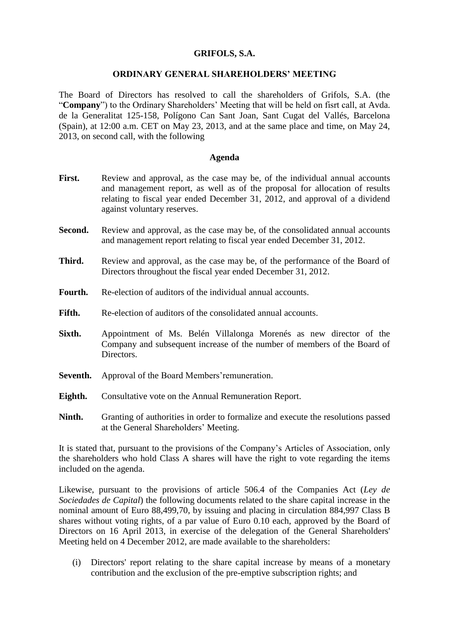## **GRIFOLS, S.A.**

#### **ORDINARY GENERAL SHAREHOLDERS' MEETING**

The Board of Directors has resolved to call the shareholders of Grifols, S.A. (the "**Company**") to the Ordinary Shareholders' Meeting that will be held on fisrt call, at Avda. de la Generalitat 125-158, Polígono Can Sant Joan, Sant Cugat del Vallés, Barcelona (Spain), at 12:00 a.m. CET on May 23, 2013, and at the same place and time, on May 24, 2013, on second call, with the following

#### **Agenda**

- First. Review and approval, as the case may be, of the individual annual accounts and management report, as well as of the proposal for allocation of results relating to fiscal year ended December 31, 2012, and approval of a dividend against voluntary reserves.
- **Second.** Review and approval, as the case may be, of the consolidated annual accounts and management report relating to fiscal year ended December 31, 2012.
- **Third.** Review and approval, as the case may be, of the performance of the Board of Directors throughout the fiscal year ended December 31, 2012.
- **Fourth.** Re-election of auditors of the individual annual accounts.
- Fifth. Re-election of auditors of the consolidated annual accounts.
- **Sixth.** Appointment of Ms. Belén Villalonga Morenés as new director of the Company and subsequent increase of the number of members of the Board of Directors.
- **Seventh.** Approval of the Board Members'remuneration.
- **Eighth.** Consultative vote on the Annual Remuneration Report.
- Ninth. Granting of authorities in order to formalize and execute the resolutions passed at the General Shareholders' Meeting.

It is stated that, pursuant to the provisions of the Company's Articles of Association, only the shareholders who hold Class A shares will have the right to vote regarding the items included on the agenda.

Likewise, pursuant to the provisions of article 506.4 of the Companies Act (*Ley de Sociedades de Capital*) the following documents related to the share capital increase in the nominal amount of Euro 88,499,70, by issuing and placing in circulation 884,997 Class B shares without voting rights, of a par value of Euro 0.10 each, approved by the Board of Directors on 16 April 2013, in exercise of the delegation of the General Shareholders' Meeting held on 4 December 2012, are made available to the shareholders:

(i) Directors' report relating to the share capital increase by means of a monetary contribution and the exclusion of the pre-emptive subscription rights; and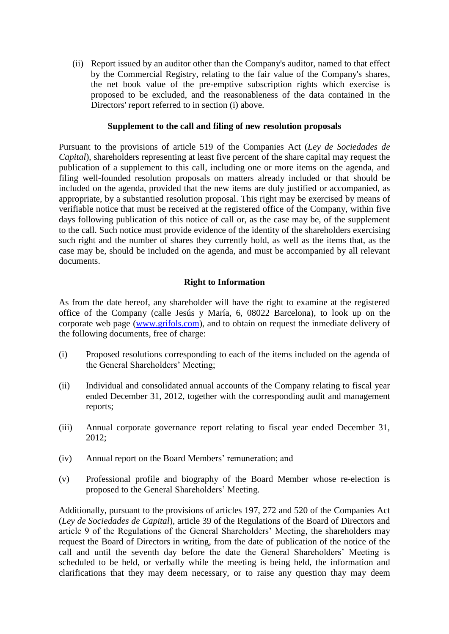(ii) Report issued by an auditor other than the Company's auditor, named to that effect by the Commercial Registry, relating to the fair value of the Company's shares, the net book value of the pre-emptive subscription rights which exercise is proposed to be excluded, and the reasonableness of the data contained in the Directors' report referred to in section (i) above.

### **Supplement to the call and filing of new resolution proposals**

Pursuant to the provisions of article 519 of the Companies Act (*Ley de Sociedades de Capital*), shareholders representing at least five percent of the share capital may request the publication of a supplement to this call, including one or more items on the agenda, and filing well-founded resolution proposals on matters already included or that should be included on the agenda, provided that the new items are duly justified or accompanied, as appropriate, by a substantied resolution proposal. This right may be exercised by means of verifiable notice that must be received at the registered office of the Company, within five days following publication of this notice of call or, as the case may be, of the supplement to the call. Such notice must provide evidence of the identity of the shareholders exercising such right and the number of shares they currently hold, as well as the items that, as the case may be, should be included on the agenda, and must be accompanied by all relevant documents.

# **Right to Information**

As from the date hereof, any shareholder will have the right to examine at the registered office of the Company (calle Jesús y María, 6, 08022 Barcelona), to look up on the corporate web page [\(www.grifols.com\)](http://www.grifols.com/), and to obtain on request the inmediate delivery of the following documents, free of charge:

- (i) Proposed resolutions corresponding to each of the items included on the agenda of the General Shareholders' Meeting;
- (ii) Individual and consolidated annual accounts of the Company relating to fiscal year ended December 31, 2012, together with the corresponding audit and management reports;
- (iii) Annual corporate governance report relating to fiscal year ended December 31, 2012;
- (iv) Annual report on the Board Members' remuneration; and
- (v) Professional profile and biography of the Board Member whose re-election is proposed to the General Shareholders' Meeting.

Additionally, pursuant to the provisions of articles 197, 272 and 520 of the Companies Act (*Ley de Sociedades de Capital*), article 39 of the Regulations of the Board of Directors and article 9 of the Regulations of the General Shareholders' Meeting, the shareholders may request the Board of Directors in writing, from the date of publication of the notice of the call and until the seventh day before the date the General Shareholders' Meeting is scheduled to be held, or verbally while the meeting is being held, the information and clarifications that they may deem necessary, or to raise any question thay may deem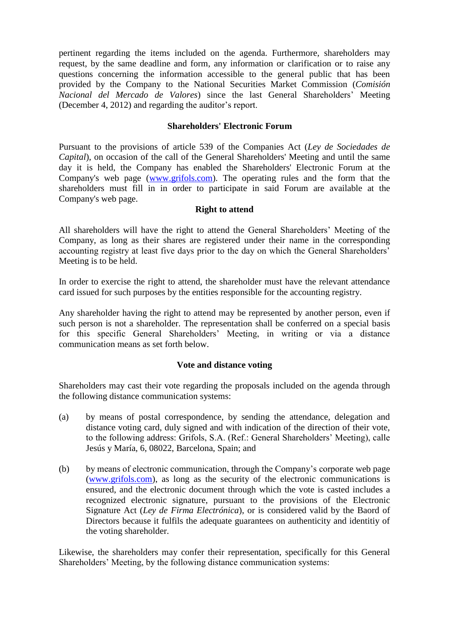pertinent regarding the items included on the agenda. Furthermore, shareholders may request, by the same deadline and form, any information or clarification or to raise any questions concerning the information accessible to the general public that has been provided by the Company to the National Securities Market Commission (*Comisión Nacional del Mercado de Valores*) since the last General Shareholders' Meeting (December 4, 2012) and regarding the auditor's report.

## **Shareholders' Electronic Forum**

Pursuant to the provisions of article 539 of the Companies Act (*Ley de Sociedades de Capital*), on occasion of the call of the General Shareholders' Meeting and until the same day it is held, the Company has enabled the Shareholders' Electronic Forum at the Company's web page [\(www.grifols.com\)](http://www.grifols.com/). The operating rules and the form that the shareholders must fill in in order to participate in said Forum are available at the Company's web page.

#### **Right to attend**

All shareholders will have the right to attend the General Shareholders' Meeting of the Company, as long as their shares are registered under their name in the corresponding accounting registry at least five days prior to the day on which the General Shareholders' Meeting is to be held.

In order to exercise the right to attend, the shareholder must have the relevant attendance card issued for such purposes by the entities responsible for the accounting registry.

Any shareholder having the right to attend may be represented by another person, even if such person is not a shareholder. The representation shall be conferred on a special basis for this specific General Shareholders' Meeting, in writing or via a distance communication means as set forth below.

#### **Vote and distance voting**

Shareholders may cast their vote regarding the proposals included on the agenda through the following distance communication systems:

- (a) by means of postal correspondence, by sending the attendance, delegation and distance voting card, duly signed and with indication of the direction of their vote, to the following address: Grifols, S.A. (Ref.: General Shareholders' Meeting), calle Jesús y María, 6, 08022, Barcelona, Spain; and
- (b) by means of electronic communication, through the Company's corporate web page [\(www.grifols.com\)](http://www.grifols.com/), as long as the security of the electronic communications is ensured, and the electronic document through which the vote is casted includes a recognized electronic signature, pursuant to the provisions of the Electronic Signature Act (*Ley de Firma Electrónica*), or is considered valid by the Baord of Directors because it fulfils the adequate guarantees on authenticity and identitiy of the voting shareholder.

Likewise, the shareholders may confer their representation, specifically for this General Shareholders' Meeting, by the following distance communication systems: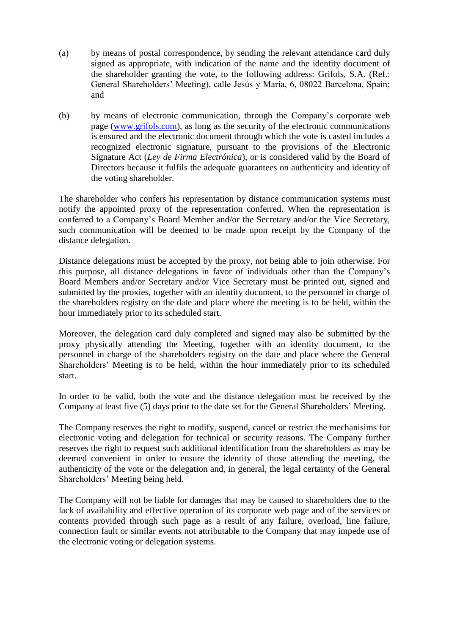- (a) by means of postal correspondence, by sending the relevant attendance card duly signed as appropriate, with indication of the name and the identity document of the shareholder granting the vote, to the following address: Grifols, S.A. (Ref.: General Shareholders' Meeting), calle Jesús y María, 6, 08022 Barcelona, Spain; and
- (b) by means of electronic communication, through the Company's corporate web page [\(www.grifols.com\)](http://www.grifols.com/), as long as the security of the electronic communications is ensured and the electronic document through which the vote is casted includes a recognized electronic signature, pursuant to the provisions of the Electronic Signature Act (*Ley de Firma Electrónica*), or is considered valid by the Board of Directors because it fulfils the adequate guarantees on authenticity and identity of the voting shareholder.

The shareholder who confers his representation by distance communication systems must notify the appointed proxy of the representation conferred. When the representation is conferred to a Company's Board Member and/or the Secretary and/or the Vice Secretary, such communication will be deemed to be made upon receipt by the Company of the distance delegation.

Distance delegations must be accepted by the proxy, not being able to join otherwise. For this purpose, all distance delegations in favor of individuals other than the Company's Board Members and/or Secretary and/or Vice Secretary must be printed out, signed and submitted by the proxies, together with an identity document, to the personnel in charge of the shareholders registry on the date and place where the meeting is to be held, within the hour immediately prior to its scheduled start.

Moreover, the delegation card duly completed and signed may also be submitted by the proxy physically attending the Meeting, together with an identity document, to the personnel in charge of the shareholders registry on the date and place where the General Shareholders' Meeting is to be held, within the hour immediately prior to its scheduled start.

In order to be valid, both the vote and the distance delegation must be received by the Company at least five (5) days prior to the date set for the General Shareholders' Meeting.

The Company reserves the right to modify, suspend, cancel or restrict the mechanisims for electronic voting and delegation for technical or security reasons. The Company further reserves the right to request such additional identification from the shareholders as may be deemed convenient in order to ensure the identity of those attending the meeting, the authenticity of the vote or the delegation and, in general, the legal certainty of the General Shareholders' Meeting being held.

The Company will not be liable for damages that may be caused to shareholders due to the lack of availability and effective operation of its corporate web page and of the services or contents provided through such page as a result of any failure, overload, line failure, connection fault or similar events not attributable to the Company that may impede use of the electronic voting or delegation systems.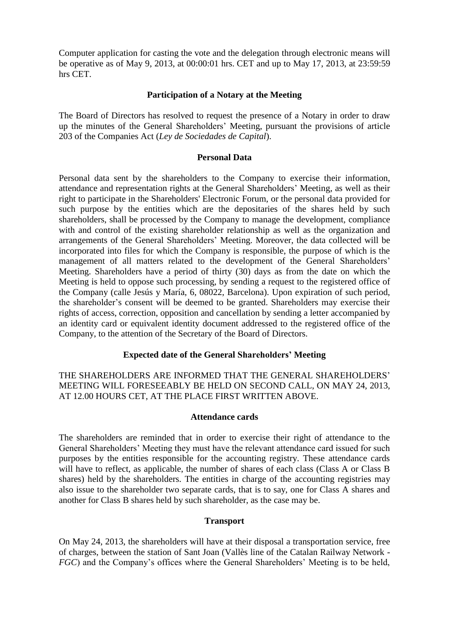Computer application for casting the vote and the delegation through electronic means will be operative as of May 9, 2013, at 00:00:01 hrs. CET and up to May 17, 2013, at 23:59:59 hrs CET.

#### **Participation of a Notary at the Meeting**

The Board of Directors has resolved to request the presence of a Notary in order to draw up the minutes of the General Shareholders' Meeting, pursuant the provisions of article 203 of the Companies Act (*Ley de Sociedades de Capital*).

#### **Personal Data**

Personal data sent by the shareholders to the Company to exercise their information, attendance and representation rights at the General Shareholders' Meeting, as well as their right to participate in the Shareholders' Electronic Forum, or the personal data provided for such purpose by the entities which are the depositaries of the shares held by such shareholders, shall be processed by the Company to manage the development, compliance with and control of the existing shareholder relationship as well as the organization and arrangements of the General Shareholders' Meeting. Moreover, the data collected will be incorporated into files for which the Company is responsible, the purpose of which is the management of all matters related to the development of the General Shareholders' Meeting. Shareholders have a period of thirty (30) days as from the date on which the Meeting is held to oppose such processing, by sending a request to the registered office of the Company (calle Jesús y María, 6, 08022, Barcelona). Upon expiration of such period, the shareholder's consent will be deemed to be granted. Shareholders may exercise their rights of access, correction, opposition and cancellation by sending a letter accompanied by an identity card or equivalent identity document addressed to the registered office of the Company, to the attention of the Secretary of the Board of Directors.

# **Expected date of the General Shareholders' Meeting**

THE SHAREHOLDERS ARE INFORMED THAT THE GENERAL SHAREHOLDERS' MEETING WILL FORESEEABLY BE HELD ON SECOND CALL, ON MAY 24, 2013, AT 12.00 HOURS CET, AT THE PLACE FIRST WRITTEN ABOVE.

#### **Attendance cards**

The shareholders are reminded that in order to exercise their right of attendance to the General Shareholders' Meeting they must have the relevant attendance card issued for such purposes by the entities responsible for the accounting registry. These attendance cards will have to reflect, as applicable, the number of shares of each class (Class A or Class B shares) held by the shareholders. The entities in charge of the accounting registries may also issue to the shareholder two separate cards, that is to say, one for Class A shares and another for Class B shares held by such shareholder, as the case may be.

#### **Transport**

On May 24, 2013, the shareholders will have at their disposal a transportation service, free of charges, between the station of Sant Joan (Vallès line of the Catalan Railway Network - *FGC*) and the Company's offices where the General Shareholders' Meeting is to be held,